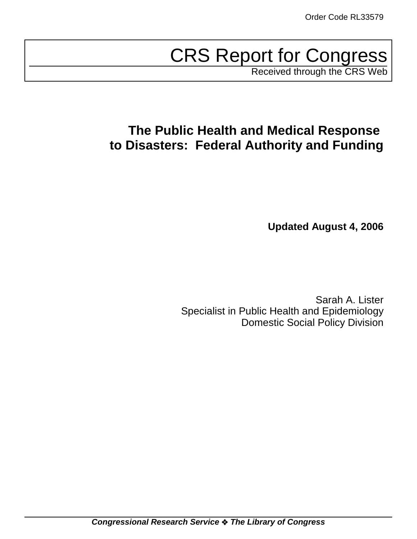# CRS Report for Congress

Received through the CRS Web

## **The Public Health and Medical Response to Disasters: Federal Authority and Funding**

**Updated August 4, 2006**

Sarah A. Lister Specialist in Public Health and Epidemiology Domestic Social Policy Division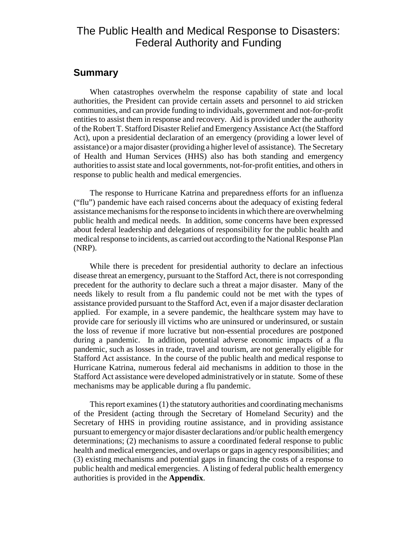## The Public Health and Medical Response to Disasters: Federal Authority and Funding

## **Summary**

When catastrophes overwhelm the response capability of state and local authorities, the President can provide certain assets and personnel to aid stricken communities, and can provide funding to individuals, government and not-for-profit entities to assist them in response and recovery. Aid is provided under the authority of the Robert T. Stafford Disaster Relief and Emergency Assistance Act (the Stafford Act), upon a presidential declaration of an emergency (providing a lower level of assistance) or a major disaster (providing a higher level of assistance). The Secretary of Health and Human Services (HHS) also has both standing and emergency authorities to assist state and local governments, not-for-profit entities, and others in response to public health and medical emergencies.

The response to Hurricane Katrina and preparedness efforts for an influenza ("flu") pandemic have each raised concerns about the adequacy of existing federal assistance mechanisms for the response to incidents in which there are overwhelming public health and medical needs. In addition, some concerns have been expressed about federal leadership and delegations of responsibility for the public health and medical response to incidents, as carried out according to the National Response Plan (NRP).

While there is precedent for presidential authority to declare an infectious disease threat an emergency, pursuant to the Stafford Act, there is not corresponding precedent for the authority to declare such a threat a major disaster. Many of the needs likely to result from a flu pandemic could not be met with the types of assistance provided pursuant to the Stafford Act, even if a major disaster declaration applied. For example, in a severe pandemic, the healthcare system may have to provide care for seriously ill victims who are uninsured or underinsured, or sustain the loss of revenue if more lucrative but non-essential procedures are postponed during a pandemic. In addition, potential adverse economic impacts of a flu pandemic, such as losses in trade, travel and tourism, are not generally eligible for Stafford Act assistance. In the course of the public health and medical response to Hurricane Katrina, numerous federal aid mechanisms in addition to those in the Stafford Act assistance were developed administratively or in statute. Some of these mechanisms may be applicable during a flu pandemic.

This report examines (1) the statutory authorities and coordinating mechanisms of the President (acting through the Secretary of Homeland Security) and the Secretary of HHS in providing routine assistance, and in providing assistance pursuant to emergency or major disaster declarations and/or public health emergency determinations; (2) mechanisms to assure a coordinated federal response to public health and medical emergencies, and overlaps or gaps in agency responsibilities; and (3) existing mechanisms and potential gaps in financing the costs of a response to public health and medical emergencies. A listing of federal public health emergency authorities is provided in the **Appendix**.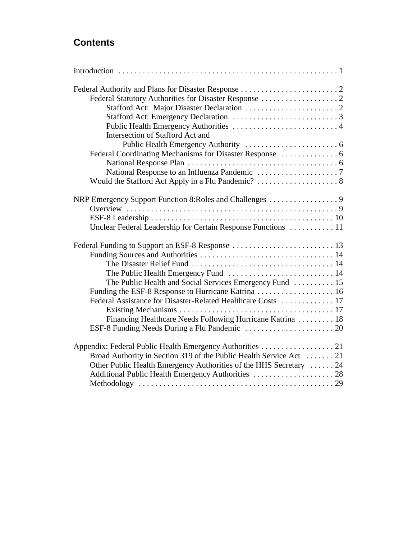## **Contents**

| Intersection of Stafford Act and                                                   |  |
|------------------------------------------------------------------------------------|--|
|                                                                                    |  |
|                                                                                    |  |
|                                                                                    |  |
|                                                                                    |  |
| Would the Stafford Act Apply in a Flu Pandemic? $\dots\dots\dots\dots\dots\dots$ 8 |  |
|                                                                                    |  |
|                                                                                    |  |
|                                                                                    |  |
| Unclear Federal Leadership for Certain Response Functions  11                      |  |
|                                                                                    |  |
|                                                                                    |  |
|                                                                                    |  |
|                                                                                    |  |
|                                                                                    |  |
| The Public Health and Social Services Emergency Fund  15                           |  |
|                                                                                    |  |
| Federal Assistance for Disaster-Related Healthcare Costs  17                       |  |
|                                                                                    |  |
| Financing Healthcare Needs Following Hurricane Katrina  18                         |  |
|                                                                                    |  |
| Appendix: Federal Public Health Emergency Authorities 21                           |  |
| Broad Authority in Section 319 of the Public Health Service Act 21                 |  |
| Other Public Health Emergency Authorities of the HHS Secretary  24                 |  |
|                                                                                    |  |
|                                                                                    |  |
|                                                                                    |  |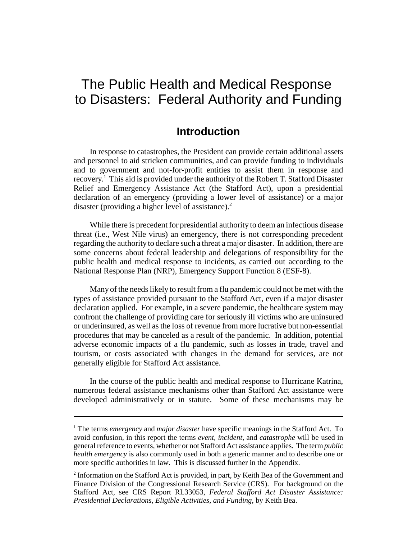## The Public Health and Medical Response to Disasters: Federal Authority and Funding

## **Introduction**

In response to catastrophes, the President can provide certain additional assets and personnel to aid stricken communities, and can provide funding to individuals and to government and not-for-profit entities to assist them in response and recovery.<sup>1</sup> This aid is provided under the authority of the Robert T. Stafford Disaster Relief and Emergency Assistance Act (the Stafford Act), upon a presidential declaration of an emergency (providing a lower level of assistance) or a major disaster (providing a higher level of assistance).<sup>2</sup>

While there is precedent for presidential authority to deem an infectious disease threat (i.e., West Nile virus) an emergency, there is not corresponding precedent regarding the authority to declare such a threat a major disaster. In addition, there are some concerns about federal leadership and delegations of responsibility for the public health and medical response to incidents, as carried out according to the National Response Plan (NRP), Emergency Support Function 8 (ESF-8).

Many of the needs likely to result from a flu pandemic could not be met with the types of assistance provided pursuant to the Stafford Act, even if a major disaster declaration applied. For example, in a severe pandemic, the healthcare system may confront the challenge of providing care for seriously ill victims who are uninsured or underinsured, as well as the loss of revenue from more lucrative but non-essential procedures that may be canceled as a result of the pandemic. In addition, potential adverse economic impacts of a flu pandemic, such as losses in trade, travel and tourism, or costs associated with changes in the demand for services, are not generally eligible for Stafford Act assistance.

In the course of the public health and medical response to Hurricane Katrina, numerous federal assistance mechanisms other than Stafford Act assistance were developed administratively or in statute. Some of these mechanisms may be

<sup>&</sup>lt;sup>1</sup> The terms *emergency* and *major disaster* have specific meanings in the Stafford Act. To avoid confusion, in this report the terms *event, incident*, and *catastrophe* will be used in general reference to events, whether or not Stafford Act assistance applies. The term *public health emergency* is also commonly used in both a generic manner and to describe one or more specific authorities in law. This is discussed further in the Appendix.

<sup>&</sup>lt;sup>2</sup> Information on the Stafford Act is provided, in part, by Keith Bea of the Government and Finance Division of the Congressional Research Service (CRS). For background on the Stafford Act, see CRS Report RL33053, *Federal Stafford Act Disaster Assistance: Presidential Declarations, Eligible Activities, and Funding*, by Keith Bea.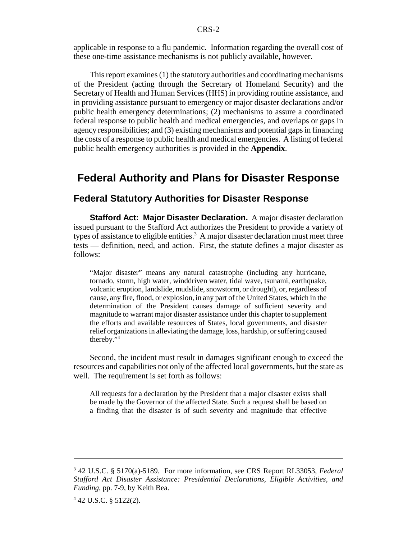applicable in response to a flu pandemic. Information regarding the overall cost of these one-time assistance mechanisms is not publicly available, however.

This report examines (1) the statutory authorities and coordinating mechanisms of the President (acting through the Secretary of Homeland Security) and the Secretary of Health and Human Services (HHS) in providing routine assistance, and in providing assistance pursuant to emergency or major disaster declarations and/or public health emergency determinations; (2) mechanisms to assure a coordinated federal response to public health and medical emergencies, and overlaps or gaps in agency responsibilities; and (3) existing mechanisms and potential gaps in financing the costs of a response to public health and medical emergencies. A listing of federal public health emergency authorities is provided in the **Appendix**.

## **Federal Authority and Plans for Disaster Response**

#### **Federal Statutory Authorities for Disaster Response**

**Stafford Act: Major Disaster Declaration.** A major disaster declaration issued pursuant to the Stafford Act authorizes the President to provide a variety of types of assistance to eligible entities.<sup>3</sup> A major disaster declaration must meet three tests — definition, need, and action. First, the statute defines a major disaster as follows:

"Major disaster" means any natural catastrophe (including any hurricane, tornado, storm, high water, winddriven water, tidal wave, tsunami, earthquake, volcanic eruption, landslide, mudslide, snowstorm, or drought), or, regardless of cause, any fire, flood, or explosion, in any part of the United States, which in the determination of the President causes damage of sufficient severity and magnitude to warrant major disaster assistance under this chapter to supplement the efforts and available resources of States, local governments, and disaster relief organizations in alleviating the damage, loss, hardship, or suffering caused thereby."4

Second, the incident must result in damages significant enough to exceed the resources and capabilities not only of the affected local governments, but the state as well. The requirement is set forth as follows:

All requests for a declaration by the President that a major disaster exists shall be made by the Governor of the affected State. Such a request shall be based on a finding that the disaster is of such severity and magnitude that effective

<sup>3</sup> 42 U.S.C. § 5170(a)-5189. For more information, see CRS Report RL33053, *Federal Stafford Act Disaster Assistance: Presidential Declarations, Eligible Activities, and Funding*, pp. 7-9, by Keith Bea.

 $4$  42 U.S.C. § 5122(2).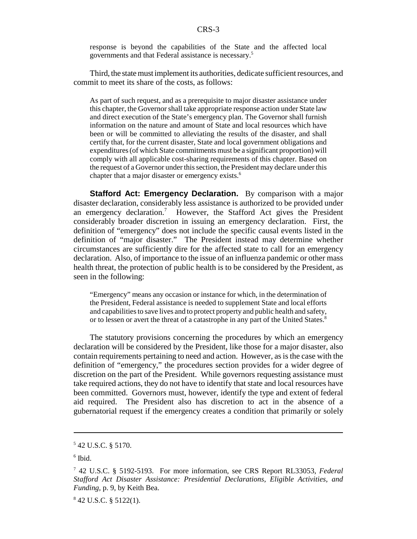response is beyond the capabilities of the State and the affected local governments and that Federal assistance is necessary.5

Third, the state must implement its authorities, dedicate sufficient resources, and commit to meet its share of the costs, as follows:

As part of such request, and as a prerequisite to major disaster assistance under this chapter, the Governor shall take appropriate response action under State law and direct execution of the State's emergency plan. The Governor shall furnish information on the nature and amount of State and local resources which have been or will be committed to alleviating the results of the disaster, and shall certify that, for the current disaster, State and local government obligations and expenditures (of which State commitments must be a significant proportion) will comply with all applicable cost-sharing requirements of this chapter. Based on the request of a Governor under this section, the President may declare under this chapter that a major disaster or emergency exists.<sup>6</sup>

**Stafford Act: Emergency Declaration.** By comparison with a major disaster declaration, considerably less assistance is authorized to be provided under an emergency declaration.<sup>7</sup> However, the Stafford Act gives the President considerably broader discretion in issuing an emergency declaration. First, the definition of "emergency" does not include the specific causal events listed in the definition of "major disaster." The President instead may determine whether circumstances are sufficiently dire for the affected state to call for an emergency declaration. Also, of importance to the issue of an influenza pandemic or other mass health threat, the protection of public health is to be considered by the President, as seen in the following:

"Emergency" means any occasion or instance for which, in the determination of the President, Federal assistance is needed to supplement State and local efforts and capabilities to save lives and to protect property and public health and safety, or to lessen or avert the threat of a catastrophe in any part of the United States.<sup>8</sup>

The statutory provisions concerning the procedures by which an emergency declaration will be considered by the President, like those for a major disaster, also contain requirements pertaining to need and action. However, as is the case with the definition of "emergency," the procedures section provides for a wider degree of discretion on the part of the President. While governors requesting assistance must take required actions, they do not have to identify that state and local resources have been committed. Governors must, however, identify the type and extent of federal aid required. The President also has discretion to act in the absence of a gubernatorial request if the emergency creates a condition that primarily or solely

<sup>5</sup> 42 U.S.C. § 5170.

<sup>6</sup> Ibid.

<sup>7</sup> 42 U.S.C. § 5192-5193. For more information, see CRS Report RL33053, *Federal Stafford Act Disaster Assistance: Presidential Declarations, Eligible Activities, and Funding,* p. 9, by Keith Bea.

 $842$  U.S.C. § 5122(1).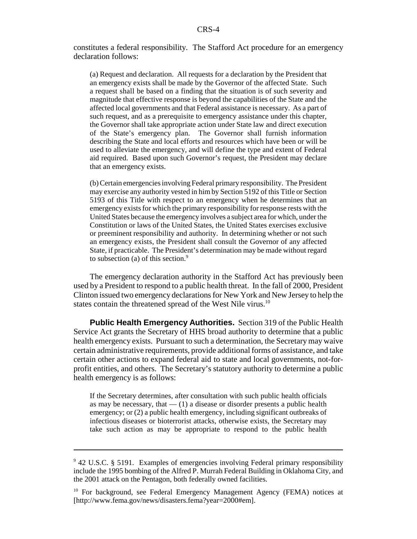constitutes a federal responsibility. The Stafford Act procedure for an emergency declaration follows:

(a) Request and declaration. All requests for a declaration by the President that an emergency exists shall be made by the Governor of the affected State. Such a request shall be based on a finding that the situation is of such severity and magnitude that effective response is beyond the capabilities of the State and the affected local governments and that Federal assistance is necessary. As a part of such request, and as a prerequisite to emergency assistance under this chapter, the Governor shall take appropriate action under State law and direct execution of the State's emergency plan. The Governor shall furnish information describing the State and local efforts and resources which have been or will be used to alleviate the emergency, and will define the type and extent of Federal aid required. Based upon such Governor's request, the President may declare that an emergency exists.

(b) Certain emergencies involving Federal primary responsibility. The President may exercise any authority vested in him by Section 5192 of this Title or Section 5193 of this Title with respect to an emergency when he determines that an emergency exists for which the primary responsibility for response rests with the United States because the emergency involves a subject area for which, under the Constitution or laws of the United States, the United States exercises exclusive or preeminent responsibility and authority. In determining whether or not such an emergency exists, the President shall consult the Governor of any affected State, if practicable. The President's determination may be made without regard to subsection (a) of this section. $9$ 

The emergency declaration authority in the Stafford Act has previously been used by a President to respond to a public health threat. In the fall of 2000, President Clinton issued two emergency declarations for New York and New Jersey to help the states contain the threatened spread of the West Nile virus.<sup>10</sup>

**Public Health Emergency Authorities.** Section 319 of the Public Health Service Act grants the Secretary of HHS broad authority to determine that a public health emergency exists. Pursuant to such a determination, the Secretary may waive certain administrative requirements, provide additional forms of assistance, and take certain other actions to expand federal aid to state and local governments, not-forprofit entities, and others. The Secretary's statutory authority to determine a public health emergency is as follows:

If the Secretary determines, after consultation with such public health officials as may be necessary, that  $-$  (1) a disease or disorder presents a public health emergency; or (2) a public health emergency, including significant outbreaks of infectious diseases or bioterrorist attacks, otherwise exists, the Secretary may take such action as may be appropriate to respond to the public health

<sup>&</sup>lt;sup>9</sup> 42 U.S.C. § 5191. Examples of emergencies involving Federal primary responsibility include the 1995 bombing of the Alfred P. Murrah Federal Building in Oklahoma City, and the 2001 attack on the Pentagon, both federally owned facilities.

<sup>&</sup>lt;sup>10</sup> For background, see Federal Emergency Management Agency (FEMA) notices at [http://www.fema.gov/news/disasters.fema?year=2000#em].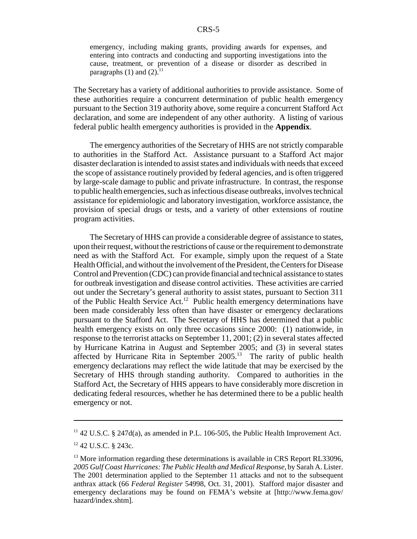emergency, including making grants, providing awards for expenses, and entering into contracts and conducting and supporting investigations into the cause, treatment, or prevention of a disease or disorder as described in paragraphs (1) and (2). $^{11}$ 

The Secretary has a variety of additional authorities to provide assistance. Some of these authorities require a concurrent determination of public health emergency pursuant to the Section 319 authority above, some require a concurrent Stafford Act declaration, and some are independent of any other authority. A listing of various federal public health emergency authorities is provided in the **Appendix**.

The emergency authorities of the Secretary of HHS are not strictly comparable to authorities in the Stafford Act. Assistance pursuant to a Stafford Act major disaster declaration is intended to assist states and individuals with needs that exceed the scope of assistance routinely provided by federal agencies, and is often triggered by large-scale damage to public and private infrastructure. In contrast, the response to public health emergencies, such as infectious disease outbreaks, involves technical assistance for epidemiologic and laboratory investigation, workforce assistance, the provision of special drugs or tests, and a variety of other extensions of routine program activities.

The Secretary of HHS can provide a considerable degree of assistance to states, upon their request, without the restrictions of cause or the requirement to demonstrate need as with the Stafford Act. For example, simply upon the request of a State Health Official, and without the involvement of the President, the Centers for Disease Control and Prevention (CDC) can provide financial and technical assistance to states for outbreak investigation and disease control activities. These activities are carried out under the Secretary's general authority to assist states, pursuant to Section 311 of the Public Health Service Act.<sup>12</sup> Public health emergency determinations have been made considerably less often than have disaster or emergency declarations pursuant to the Stafford Act. The Secretary of HHS has determined that a public health emergency exists on only three occasions since 2000: (1) nationwide, in response to the terrorist attacks on September 11, 2001; (2) in several states affected by Hurricane Katrina in August and September 2005; and (3) in several states affected by Hurricane Rita in September  $2005$ <sup>13</sup>. The rarity of public health emergency declarations may reflect the wide latitude that may be exercised by the Secretary of HHS through standing authority. Compared to authorities in the Stafford Act, the Secretary of HHS appears to have considerably more discretion in dedicating federal resources, whether he has determined there to be a public health emergency or not.

<sup>&</sup>lt;sup>11</sup> 42 U.S.C. § 247d(a), as amended in P.L. 106-505, the Public Health Improvement Act.

<sup>12 42</sup> U.S.C. § 243c.

 $13$  More information regarding these determinations is available in CRS Report RL33096, *2005 Gulf Coast Hurricanes: The Public Health and Medical Response,* by Sarah A. Lister. The 2001 determination applied to the September 11 attacks and not to the subsequent anthrax attack (66 *Federal Register* 54998, Oct. 31, 2001). Stafford major disaster and emergency declarations may be found on FEMA's website at [http://www.fema.gov/ hazard/index.shtm].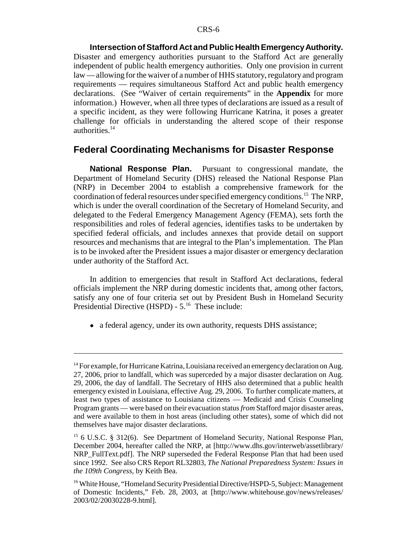**Intersection of Stafford Act and Public Health Emergency Authority.** Disaster and emergency authorities pursuant to the Stafford Act are generally independent of public health emergency authorities. Only one provision in current law — allowing for the waiver of a number of HHS statutory, regulatory and program requirements — requires simultaneous Stafford Act and public health emergency declarations. (See "Waiver of certain requirements" in the **Appendix** for more information.) However, when all three types of declarations are issued as a result of a specific incident, as they were following Hurricane Katrina, it poses a greater challenge for officials in understanding the altered scope of their response authorities.<sup>14</sup>

## **Federal Coordinating Mechanisms for Disaster Response**

**National Response Plan.** Pursuant to congressional mandate, the Department of Homeland Security (DHS) released the National Response Plan (NRP) in December 2004 to establish a comprehensive framework for the coordination of federal resources under specified emergency conditions.15 The NRP, which is under the overall coordination of the Secretary of Homeland Security, and delegated to the Federal Emergency Management Agency (FEMA), sets forth the responsibilities and roles of federal agencies, identifies tasks to be undertaken by specified federal officials, and includes annexes that provide detail on support resources and mechanisms that are integral to the Plan's implementation. The Plan is to be invoked after the President issues a major disaster or emergency declaration under authority of the Stafford Act.

In addition to emergencies that result in Stafford Act declarations, federal officials implement the NRP during domestic incidents that, among other factors, satisfy any one of four criteria set out by President Bush in Homeland Security Presidential Directive (HSPD) -  $5^{16}$  These include:

! a federal agency, under its own authority, requests DHS assistance;

<sup>&</sup>lt;sup>14</sup> For example, for Hurricane Katrina, Louisiana received an emergency declaration on Aug. 27, 2006, prior to landfall, which was superceded by a major disaster declaration on Aug. 29, 2006, the day of landfall. The Secretary of HHS also determined that a public health emergency existed in Louisiana, effective Aug. 29, 2006. To further complicate matters, at least two types of assistance to Louisiana citizens — Medicaid and Crisis Counseling Program grants — were based on their evacuation status *from* Stafford major disaster areas, and were available to them in host areas (including other states), some of which did not themselves have major disaster declarations.

<sup>&</sup>lt;sup>15</sup> 6 U.S.C. § 312(6). See Department of Homeland Security, National Response Plan, December 2004, hereafter called the NRP, at [http://www.dhs.gov/interweb/assetlibrary/ NRP\_FullText.pdf]. The NRP superseded the Federal Response Plan that had been used since 1992. See also CRS Report RL32803, *The National Preparedness System: Issues in the 109th Congress*, by Keith Bea.

<sup>&</sup>lt;sup>16</sup> White House, "Homeland Security Presidential Directive/HSPD-5, Subject: Management of Domestic Incidents," Feb. 28, 2003, at [http://www.whitehouse.gov/news/releases/ 2003/02/20030228-9.html].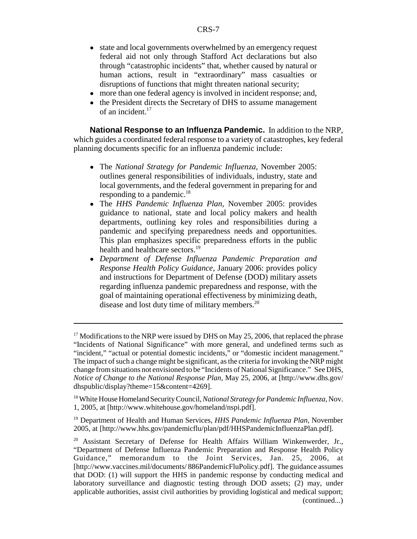- state and local governments overwhelmed by an emergency request federal aid not only through Stafford Act declarations but also through "catastrophic incidents" that, whether caused by natural or human actions, result in "extraordinary" mass casualties or disruptions of functions that might threaten national security;
- more than one federal agency is involved in incident response; and,
- the President directs the Secretary of DHS to assume management of an incident.<sup>17</sup>

**National Response to an Influenza Pandemic.** In addition to the NRP, which guides a coordinated federal response to a variety of catastrophes, key federal planning documents specific for an influenza pandemic include:

- ! The *National Strategy for Pandemic Influenza,* November 2005: outlines general responsibilities of individuals, industry, state and local governments, and the federal government in preparing for and responding to a pandemic. $^{18}$
- ! The *HHS Pandemic Influenza Plan,* November 2005: provides guidance to national, state and local policy makers and health departments, outlining key roles and responsibilities during a pandemic and specifying preparedness needs and opportunities. This plan emphasizes specific preparedness efforts in the public health and healthcare sectors.<sup>19</sup>
- ! *Department of Defense Influenza Pandemic Preparation and Response Health Policy Guidance,* January 2006: provides policy and instructions for Department of Defense (DOD) military assets regarding influenza pandemic preparedness and response, with the goal of maintaining operational effectiveness by minimizing death, disease and lost duty time of military members.<sup>20</sup>

 $17$  Modifications to the NRP were issued by DHS on May 25, 2006, that replaced the phrase "Incidents of National Significance" with more general, and undefined terms such as "incident," "actual or potential domestic incidents," or "domestic incident management." The impact of such a change might be significant, as the criteria for invoking the NRP might change from situations not envisioned to be "Incidents of National Significance." See DHS, *Notice of Change to the National Response Plan,* May 25, 2006, at [http://www.dhs.gov/ dhspublic/display?theme=15&content=4269].

<sup>18</sup> White House Homeland Security Council, *National Strategy for Pandemic Influenza,* Nov. 1, 2005, at [http://www.whitehouse.gov/homeland/nspi.pdf].

<sup>19</sup> Department of Health and Human Services, *HHS Pandemic Influenza Plan,* November 2005, at [http://www.hhs.gov/pandemicflu/plan/pdf/HHSPandemicInfluenzaPlan.pdf].

<sup>20</sup> Assistant Secretary of Defense for Health Affairs William Winkenwerder, Jr., "Department of Defense Influenza Pandemic Preparation and Response Health Policy Guidance," memorandum to the Joint Services, Jan. 25, 2006, at [http://www.vaccines.mil/documents/ 886PandemicFluPolicy.pdf]. The guidance assumes that DOD: (1) will support the HHS in pandemic response by conducting medical and laboratory surveillance and diagnostic testing through DOD assets; (2) may, under applicable authorities, assist civil authorities by providing logistical and medical support; (continued...)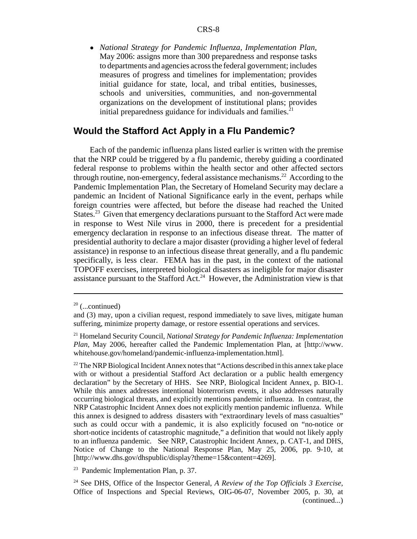! *National Strategy for Pandemic Influenza, Implementation Plan,* May 2006: assigns more than 300 preparedness and response tasks to departments and agencies across the federal government; includes measures of progress and timelines for implementation; provides initial guidance for state, local, and tribal entities, businesses, schools and universities, communities, and non-governmental organizations on the development of institutional plans; provides initial preparedness guidance for individuals and families. $2<sup>1</sup>$ 

## **Would the Stafford Act Apply in a Flu Pandemic?**

Each of the pandemic influenza plans listed earlier is written with the premise that the NRP could be triggered by a flu pandemic, thereby guiding a coordinated federal response to problems within the health sector and other affected sectors through routine, non-emergency, federal assistance mechanisms.<sup>22</sup> According to the Pandemic Implementation Plan, the Secretary of Homeland Security may declare a pandemic an Incident of National Significance early in the event, perhaps while foreign countries were affected, but before the disease had reached the United States.<sup>23</sup> Given that emergency declarations pursuant to the Stafford Act were made in response to West Nile virus in 2000, there is precedent for a presidential emergency declaration in response to an infectious disease threat. The matter of presidential authority to declare a major disaster (providing a higher level of federal assistance) in response to an infectious disease threat generally, and a flu pandemic specifically, is less clear. FEMA has in the past, in the context of the national TOPOFF exercises, interpreted biological disasters as ineligible for major disaster assistance pursuant to the Stafford Act.<sup>24</sup> However, the Administration view is that

<sup>23</sup> Pandemic Implementation Plan, p. 37.

 $20$  (...continued)

and (3) may, upon a civilian request, respond immediately to save lives, mitigate human suffering, minimize property damage, or restore essential operations and services.

<sup>21</sup> Homeland Security Council, *National Strategy for Pandemic Influenza: Implementation Plan,* May 2006, hereafter called the Pandemic Implementation Plan, at [http://www. whitehouse.gov/homeland/pandemic-influenza-implementation.html].

 $2<sup>22</sup>$  The NRP Biological Incident Annex notes that "Actions described in this annex take place with or without a presidential Stafford Act declaration or a public health emergency declaration" by the Secretary of HHS. See NRP, Biological Incident Annex, p. BIO-1. While this annex addresses intentional bioterrorism events, it also addresses naturally occurring biological threats, and explicitly mentions pandemic influenza. In contrast, the NRP Catastrophic Incident Annex does not explicitly mention pandemic influenza. While this annex is designed to address disasters with "extraordinary levels of mass casualties" such as could occur with a pandemic, it is also explicitly focused on "no-notice or short-notice incidents of catastrophic magnitude," a definition that would not likely apply to an influenza pandemic. See NRP, Catastrophic Incident Annex, p. CAT-1, and DHS, Notice of Change to the National Response Plan, May 25, 2006, pp. 9-10, at [http://www.dhs.gov/dhspublic/display?theme=15&content=4269].

<sup>24</sup> See DHS, Office of the Inspector General, *A Review of the Top Officials 3 Exercise,* Office of Inspections and Special Reviews, OIG-06-07, November 2005, p. 30, at (continued...)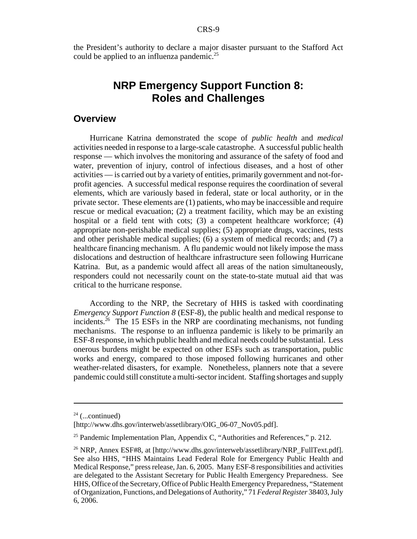the President's authority to declare a major disaster pursuant to the Stafford Act could be applied to an influenza pandemic.<sup>25</sup>

## **NRP Emergency Support Function 8: Roles and Challenges**

#### **Overview**

Hurricane Katrina demonstrated the scope of *public health* and *medical* activities needed in response to a large-scale catastrophe. A successful public health response — which involves the monitoring and assurance of the safety of food and water, prevention of injury, control of infectious diseases, and a host of other activities — is carried out by a variety of entities, primarily government and not-forprofit agencies. A successful medical response requires the coordination of several elements, which are variously based in federal, state or local authority, or in the private sector. These elements are (1) patients, who may be inaccessible and require rescue or medical evacuation; (2) a treatment facility, which may be an existing hospital or a field tent with cots; (3) a competent healthcare workforce; (4) appropriate non-perishable medical supplies; (5) appropriate drugs, vaccines, tests and other perishable medical supplies; (6) a system of medical records; and (7) a healthcare financing mechanism. A flu pandemic would not likely impose the mass dislocations and destruction of healthcare infrastructure seen following Hurricane Katrina. But, as a pandemic would affect all areas of the nation simultaneously, responders could not necessarily count on the state-to-state mutual aid that was critical to the hurricane response.

According to the NRP, the Secretary of HHS is tasked with coordinating *Emergency Support Function 8* (ESF-8), the public health and medical response to incidents.<sup>26</sup> The 15 ESFs in the NRP are coordinating mechanisms, not funding mechanisms. The response to an influenza pandemic is likely to be primarily an ESF-8 response, in which public health and medical needs could be substantial. Less onerous burdens might be expected on other ESFs such as transportation, public works and energy, compared to those imposed following hurricanes and other weather-related disasters, for example. Nonetheless, planners note that a severe pandemic could still constitute a multi-sector incident. Staffing shortages and supply

 $24$  (...continued)

<sup>[</sup>http://www.dhs.gov/interweb/assetlibrary/OIG\_06-07\_Nov05.pdf].

<sup>&</sup>lt;sup>25</sup> Pandemic Implementation Plan, Appendix C, "Authorities and References," p. 212.

<sup>&</sup>lt;sup>26</sup> NRP, Annex ESF#8, at [http://www.dhs.gov/interweb/assetlibrary/NRP\_FullText.pdf]. See also HHS, "HHS Maintains Lead Federal Role for Emergency Public Health and Medical Response," press release, Jan. 6, 2005. Many ESF-8 responsibilities and activities are delegated to the Assistant Secretary for Public Health Emergency Preparedness. See HHS, Office of the Secretary, Office of Public Health Emergency Preparedness, "Statement of Organization, Functions, and Delegations of Authority," 71 *Federal Register* 38403, July 6, 2006.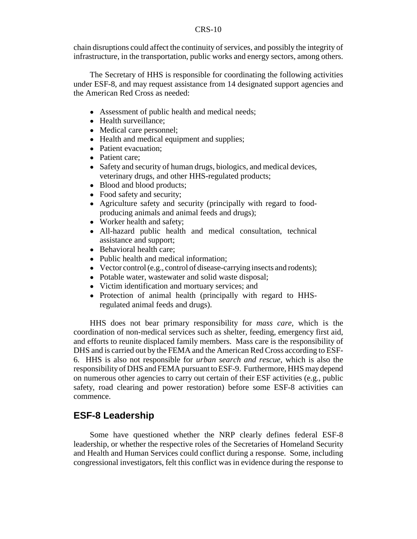chain disruptions could affect the continuity of services, and possibly the integrity of infrastructure, in the transportation, public works and energy sectors, among others.

The Secretary of HHS is responsible for coordinating the following activities under ESF-8, and may request assistance from 14 designated support agencies and the American Red Cross as needed:

- ! Assessment of public health and medical needs;
- Health surveillance;
- Medical care personnel;
- Health and medical equipment and supplies;
- Patient evacuation;
- Patient care:
- ! Safety and security of human drugs, biologics, and medical devices, veterinary drugs, and other HHS-regulated products;
- Blood and blood products;
- Food safety and security;
- ! Agriculture safety and security (principally with regard to foodproducing animals and animal feeds and drugs);
- Worker health and safety;
- ! All-hazard public health and medical consultation, technical assistance and support;
- Behavioral health care:
- Public health and medical information;
- Vector control (e.g., control of disease-carrying insects and rodents);
- Potable water, wastewater and solid waste disposal;
- Victim identification and mortuary services; and
- ! Protection of animal health (principally with regard to HHSregulated animal feeds and drugs).

HHS does not bear primary responsibility for *mass care,* which is the coordination of non-medical services such as shelter, feeding, emergency first aid, and efforts to reunite displaced family members. Mass care is the responsibility of DHS and is carried out by the FEMA and the American Red Cross according to ESF-6. HHS is also not responsible for *urban search and rescue,* which is also the responsibility of DHS and FEMA pursuant to ESF-9. Furthermore, HHS may depend on numerous other agencies to carry out certain of their ESF activities (e.g., public safety, road clearing and power restoration) before some ESF-8 activities can commence.

## **ESF-8 Leadership**

Some have questioned whether the NRP clearly defines federal ESF-8 leadership, or whether the respective roles of the Secretaries of Homeland Security and Health and Human Services could conflict during a response. Some, including congressional investigators, felt this conflict was in evidence during the response to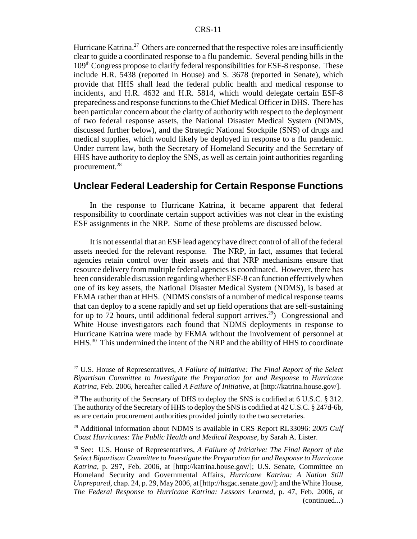Hurricane Katrina.<sup>27</sup> Others are concerned that the respective roles are insufficiently clear to guide a coordinated response to a flu pandemic. Several pending bills in the 109th Congress propose to clarify federal responsibilities for ESF-8 response. These include H.R. 5438 (reported in House) and S. 3678 (reported in Senate), which provide that HHS shall lead the federal public health and medical response to incidents, and H.R. 4632 and H.R. 5814, which would delegate certain ESF-8 preparedness and response functions to the Chief Medical Officer in DHS. There has been particular concern about the clarity of authority with respect to the deployment of two federal response assets, the National Disaster Medical System (NDMS, discussed further below), and the Strategic National Stockpile (SNS) of drugs and medical supplies, which would likely be deployed in response to a flu pandemic. Under current law, both the Secretary of Homeland Security and the Secretary of HHS have authority to deploy the SNS, as well as certain joint authorities regarding procurement.28

## **Unclear Federal Leadership for Certain Response Functions**

In the response to Hurricane Katrina, it became apparent that federal responsibility to coordinate certain support activities was not clear in the existing ESF assignments in the NRP. Some of these problems are discussed below.

It is not essential that an ESF lead agency have direct control of all of the federal assets needed for the relevant response. The NRP, in fact, assumes that federal agencies retain control over their assets and that NRP mechanisms ensure that resource delivery from multiple federal agencies is coordinated. However, there has been considerable discussion regarding whether ESF-8 can function effectively when one of its key assets, the National Disaster Medical System (NDMS), is based at FEMA rather than at HHS. (NDMS consists of a number of medical response teams that can deploy to a scene rapidly and set up field operations that are self-sustaining for up to 72 hours, until additional federal support arrives.<sup>29</sup>) Congressional and White House investigators each found that NDMS deployments in response to Hurricane Katrina were made by FEMA without the involvement of personnel at HHS.30 This undermined the intent of the NRP and the ability of HHS to coordinate

<sup>27</sup> U.S. House of Representatives, *A Failure of Initiative: The Final Report of the Select Bipartisan Committee to Investigate the Preparation for and Response to Hurricane Katrina,* Feb. 2006, hereafter called *A Failure of Initiative*, at [http://katrina.house.gov/].

<sup>&</sup>lt;sup>28</sup> The authority of the Secretary of DHS to deploy the SNS is codified at 6 U.S.C. § 312. The authority of the Secretary of HHS to deploy the SNS is codified at 42 U.S.C. § 247d-6b, as are certain procurement authorities provided jointly to the two secretaries.

<sup>29</sup> Additional information about NDMS is available in CRS Report RL33096: *2005 Gulf Coast Hurricanes: The Public Health and Medical Response,* by Sarah A. Lister.

<sup>30</sup> See: U.S. House of Representatives, *A Failure of Initiative: The Final Report of the Select Bipartisan Committee to Investigate the Preparation for and Response to Hurricane Katrina,* p. 297, Feb. 2006, at [http://katrina.house.gov/]; U.S. Senate, Committee on Homeland Security and Governmental Affairs, *Hurricane Katrina: A Nation Still Unprepared,* chap. 24, p. 29, May 2006, at [http://hsgac.senate.gov/]; and the White House, *The Federal Response to Hurricane Katrina: Lessons Learned,* p. 47, Feb. 2006, at (continued...)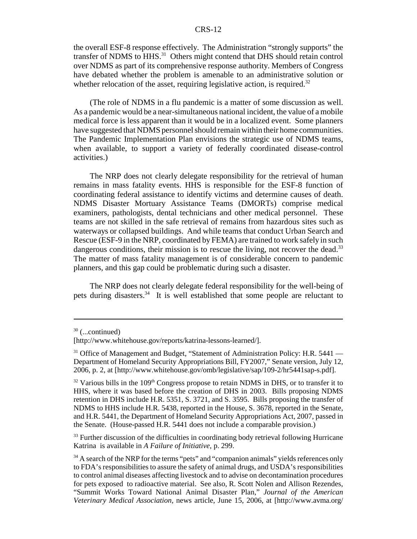the overall ESF-8 response effectively. The Administration "strongly supports" the transfer of NDMS to HHS.<sup>31</sup> Others might contend that DHS should retain control over NDMS as part of its comprehensive response authority. Members of Congress have debated whether the problem is amenable to an administrative solution or whether relocation of the asset, requiring legislative action, is required.<sup>32</sup>

(The role of NDMS in a flu pandemic is a matter of some discussion as well. As a pandemic would be a near-simultaneous national incident, the value of a mobile medical force is less apparent than it would be in a localized event. Some planners have suggested that NDMS personnel should remain within their home communities. The Pandemic Implementation Plan envisions the strategic use of NDMS teams, when available, to support a variety of federally coordinated disease-control activities.)

The NRP does not clearly delegate responsibility for the retrieval of human remains in mass fatality events. HHS is responsible for the ESF-8 function of coordinating federal assistance to identify victims and determine causes of death. NDMS Disaster Mortuary Assistance Teams (DMORTs) comprise medical examiners, pathologists, dental technicians and other medical personnel. These teams are not skilled in the safe retrieval of remains from hazardous sites such as waterways or collapsed buildings. And while teams that conduct Urban Search and Rescue (ESF-9 in the NRP, coordinated by FEMA) are trained to work safely in such dangerous conditions, their mission is to rescue the living, not recover the dead.<sup>33</sup> The matter of mass fatality management is of considerable concern to pandemic planners, and this gap could be problematic during such a disaster.

The NRP does not clearly delegate federal responsibility for the well-being of pets during disasters.34 It is well established that some people are reluctant to

 $30$  (...continued)

<sup>[</sup>http://www.whitehouse.gov/reports/katrina-lessons-learned/].

<sup>&</sup>lt;sup>31</sup> Office of Management and Budget, "Statement of Administration Policy: H.R. 5441 — Department of Homeland Security Appropriations Bill, FY2007," Senate version, July 12, 2006, p. 2, at [http://www.whitehouse.gov/omb/legislative/sap/109-2/hr5441sap-s.pdf].

 $32$  Various bills in the 109<sup>th</sup> Congress propose to retain NDMS in DHS, or to transfer it to HHS, where it was based before the creation of DHS in 2003. Bills proposing NDMS retention in DHS include H.R. 5351, S. 3721, and S. 3595. Bills proposing the transfer of NDMS to HHS include H.R. 5438, reported in the House, S. 3678, reported in the Senate, and H.R. 5441, the Department of Homeland Security Appropriations Act, 2007, passed in the Senate. (House-passed H.R. 5441 does not include a comparable provision.)

 $33$  Further discussion of the difficulties in coordinating body retrieval following Hurricane Katrina is available in *A Failure of Initiative,* p. 299.

<sup>&</sup>lt;sup>34</sup> A search of the NRP for the terms "pets" and "companion animals" yields references only to FDA's responsibilities to assure the safety of animal drugs, and USDA's responsibilities to control animal diseases affecting livestock and to advise on decontamination procedures for pets exposed to radioactive material. See also, R. Scott Nolen and Allison Rezendes, "Summit Works Toward National Animal Disaster Plan," *Journal of the American Veterinary Medical Association,* news article, June 15, 2006, at [http://www.avma.org/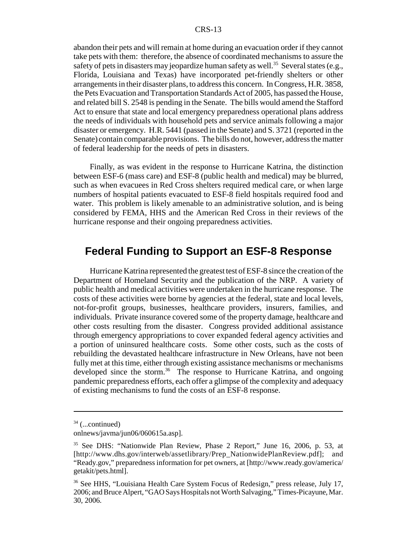abandon their pets and will remain at home during an evacuation order if they cannot take pets with them: therefore, the absence of coordinated mechanisms to assure the safety of pets in disasters may jeopardize human safety as well.<sup>35</sup> Several states (e.g., Florida, Louisiana and Texas) have incorporated pet-friendly shelters or other arrangements in their disaster plans, to address this concern. In Congress, H.R. 3858, the Pets Evacuation and Transportation Standards Act of 2005, has passed the House, and related bill S. 2548 is pending in the Senate. The bills would amend the Stafford Act to ensure that state and local emergency preparedness operational plans address the needs of individuals with household pets and service animals following a major disaster or emergency. H.R. 5441 (passed in the Senate) and S. 3721 (reported in the Senate) contain comparable provisions. The bills do not, however, address the matter of federal leadership for the needs of pets in disasters.

Finally, as was evident in the response to Hurricane Katrina, the distinction between ESF-6 (mass care) and ESF-8 (public health and medical) may be blurred, such as when evacuees in Red Cross shelters required medical care, or when large numbers of hospital patients evacuated to ESF-8 field hospitals required food and water. This problem is likely amenable to an administrative solution, and is being considered by FEMA, HHS and the American Red Cross in their reviews of the hurricane response and their ongoing preparedness activities.

## **Federal Funding to Support an ESF-8 Response**

Hurricane Katrina represented the greatest test of ESF-8 since the creation of the Department of Homeland Security and the publication of the NRP. A variety of public health and medical activities were undertaken in the hurricane response. The costs of these activities were borne by agencies at the federal, state and local levels, not-for-profit groups, businesses, healthcare providers, insurers, families, and individuals. Private insurance covered some of the property damage, healthcare and other costs resulting from the disaster. Congress provided additional assistance through emergency appropriations to cover expanded federal agency activities and a portion of uninsured healthcare costs. Some other costs, such as the costs of rebuilding the devastated healthcare infrastructure in New Orleans, have not been fully met at this time, either through existing assistance mechanisms or mechanisms developed since the storm.<sup>36</sup> The response to Hurricane Katrina, and ongoing pandemic preparedness efforts, each offer a glimpse of the complexity and adequacy of existing mechanisms to fund the costs of an ESF-8 response.

 $34$  (...continued)

onlnews/javma/jun06/060615a.asp].

<sup>35</sup> See DHS: "Nationwide Plan Review, Phase 2 Report," June 16, 2006, p. 53, at [http://www.dhs.gov/interweb/assetlibrary/Prep\_NationwidePlanReview.pdf]; and "Ready.gov," preparedness information for pet owners, at [http://www.ready.gov/america/ getakit/pets.html].

<sup>36</sup> See HHS, "Louisiana Health Care System Focus of Redesign," press release, July 17, 2006; and Bruce Alpert, "GAO Says Hospitals not Worth Salvaging," Times-Picayune, Mar. 30, 2006.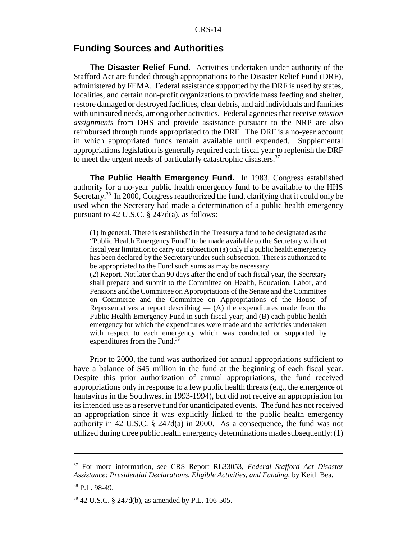#### **Funding Sources and Authorities**

**The Disaster Relief Fund.** Activities undertaken under authority of the Stafford Act are funded through appropriations to the Disaster Relief Fund (DRF), administered by FEMA. Federal assistance supported by the DRF is used by states, localities, and certain non-profit organizations to provide mass feeding and shelter, restore damaged or destroyed facilities, clear debris, and aid individuals and families with uninsured needs, among other activities. Federal agencies that receive *mission assignments* from DHS and provide assistance pursuant to the NRP are also reimbursed through funds appropriated to the DRF. The DRF is a no-year account in which appropriated funds remain available until expended. Supplemental appropriations legislation is generally required each fiscal year to replenish the DRF to meet the urgent needs of particularly catastrophic disasters.<sup>37</sup>

**The Public Health Emergency Fund.** In 1983, Congress established authority for a no-year public health emergency fund to be available to the HHS Secretary.38 In 2000, Congress reauthorized the fund, clarifying that it could only be used when the Secretary had made a determination of a public health emergency pursuant to 42 U.S.C. § 247d(a), as follows:

(1) In general. There is established in the Treasury a fund to be designated as the "Public Health Emergency Fund" to be made available to the Secretary without fiscal year limitation to carry out subsection (a) only if a public health emergency has been declared by the Secretary under such subsection. There is authorized to be appropriated to the Fund such sums as may be necessary.

(2) Report. Not later than 90 days after the end of each fiscal year, the Secretary shall prepare and submit to the Committee on Health, Education, Labor, and Pensions and the Committee on Appropriations of the Senate and the Committee on Commerce and the Committee on Appropriations of the House of Representatives a report describing  $-$  (A) the expenditures made from the Public Health Emergency Fund in such fiscal year; and (B) each public health emergency for which the expenditures were made and the activities undertaken with respect to each emergency which was conducted or supported by expenditures from the Fund.<sup>39</sup>

Prior to 2000, the fund was authorized for annual appropriations sufficient to have a balance of \$45 million in the fund at the beginning of each fiscal year. Despite this prior authorization of annual appropriations, the fund received appropriations only in response to a few public health threats (e.g., the emergence of hantavirus in the Southwest in 1993-1994), but did not receive an appropriation for its intended use as a reserve fund for unanticipated events. The fund has not received an appropriation since it was explicitly linked to the public health emergency authority in 42 U.S.C. § 247d(a) in 2000. As a consequence, the fund was not utilized during three public health emergency determinations made subsequently: (1)

<sup>37</sup> For more information, see CRS Report RL33053, *Federal Stafford Act Disaster Assistance: Presidential Declarations, Eligible Activities, and Funding,* by Keith Bea.

<sup>38</sup> P.L. 98-49.

 $39$  42 U.S.C. § 247d(b), as amended by P.L. 106-505.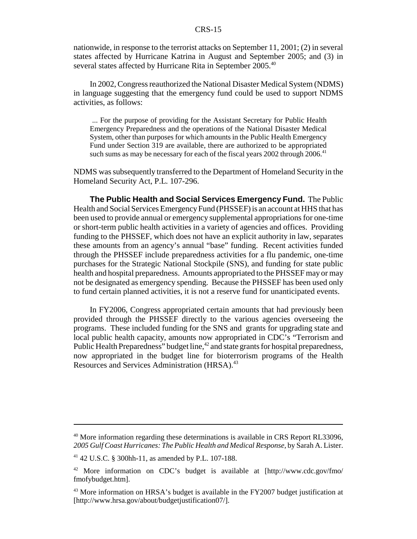nationwide, in response to the terrorist attacks on September 11, 2001; (2) in several states affected by Hurricane Katrina in August and September 2005; and (3) in several states affected by Hurricane Rita in September 2005.<sup>40</sup>

In 2002, Congress reauthorized the National Disaster Medical System (NDMS) in language suggesting that the emergency fund could be used to support NDMS activities, as follows:

 ... For the purpose of providing for the Assistant Secretary for Public Health Emergency Preparedness and the operations of the National Disaster Medical System, other than purposes for which amounts in the Public Health Emergency Fund under Section 319 are available, there are authorized to be appropriated such sums as may be necessary for each of the fiscal years 2002 through 2006.<sup>41</sup>

NDMS was subsequently transferred to the Department of Homeland Security in the Homeland Security Act, P.L. 107-296.

**The Public Health and Social Services Emergency Fund.** The Public Health and Social Services Emergency Fund (PHSSEF) is an account at HHS that has been used to provide annual or emergency supplemental appropriations for one-time or short-term public health activities in a variety of agencies and offices. Providing funding to the PHSSEF, which does not have an explicit authority in law, separates these amounts from an agency's annual "base" funding. Recent activities funded through the PHSSEF include preparedness activities for a flu pandemic, one-time purchases for the Strategic National Stockpile (SNS), and funding for state public health and hospital preparedness. Amounts appropriated to the PHSSEF may or may not be designated as emergency spending. Because the PHSSEF has been used only to fund certain planned activities, it is not a reserve fund for unanticipated events.

In FY2006, Congress appropriated certain amounts that had previously been provided through the PHSSEF directly to the various agencies overseeing the programs. These included funding for the SNS and grants for upgrading state and local public health capacity, amounts now appropriated in CDC's "Terrorism and Public Health Preparedness" budget line, $42$  and state grants for hospital preparedness, now appropriated in the budget line for bioterrorism programs of the Health Resources and Services Administration (HRSA).43

<sup>&</sup>lt;sup>40</sup> More information regarding these determinations is available in CRS Report RL33096, *2005 Gulf Coast Hurricanes: The Public Health and Medical Response,* by Sarah A. Lister.

<sup>41 42</sup> U.S.C. § 300hh-11, as amended by P.L. 107-188.

<sup>42</sup> More information on CDC's budget is available at [http://www.cdc.gov/fmo/ fmofybudget.htm].

<sup>&</sup>lt;sup>43</sup> More information on HRSA's budget is available in the FY2007 budget justification at [http://www.hrsa.gov/about/budgetjustification07/].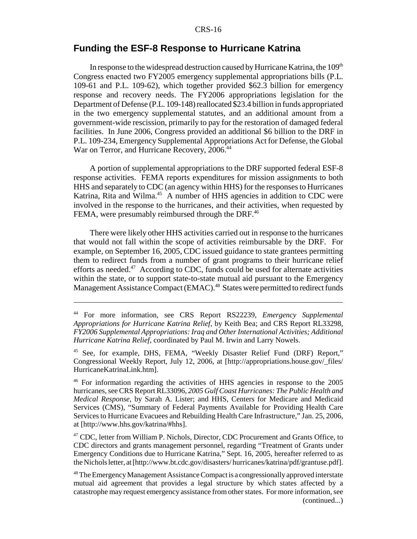## **Funding the ESF-8 Response to Hurricane Katrina**

In response to the widespread destruction caused by Hurricane Katrina, the  $109<sup>th</sup>$ Congress enacted two FY2005 emergency supplemental appropriations bills (P.L. 109-61 and P.L. 109-62), which together provided \$62.3 billion for emergency response and recovery needs. The FY2006 appropriations legislation for the Department of Defense (P.L. 109-148) reallocated \$23.4 billion in funds appropriated in the two emergency supplemental statutes, and an additional amount from a government-wide rescission, primarily to pay for the restoration of damaged federal facilities. In June 2006, Congress provided an additional \$6 billion to the DRF in P.L. 109-234, Emergency Supplemental Appropriations Act for Defense, the Global War on Terror, and Hurricane Recovery, 2006.<sup>44</sup>

A portion of supplemental appropriations to the DRF supported federal ESF-8 response activities. FEMA reports expenditures for mission assignments to both HHS and separately to CDC (an agency within HHS) for the responses to Hurricanes Katrina, Rita and Wilma.<sup>45</sup> A number of HHS agencies in addition to CDC were involved in the response to the hurricanes, and their activities, when requested by FEMA, were presumably reimbursed through the DRF.<sup>46</sup>

There were likely other HHS activities carried out in response to the hurricanes that would not fall within the scope of activities reimbursable by the DRF. For example, on September 16, 2005, CDC issued guidance to state grantees permitting them to redirect funds from a number of grant programs to their hurricane relief efforts as needed.<sup>47</sup> According to CDC, funds could be used for alternate activities within the state, or to support state-to-state mutual aid pursuant to the Emergency Management Assistance Compact (EMAC).<sup>48</sup> States were permitted to redirect funds

<sup>44</sup> For more information, see CRS Report RS22239, *Emergency Supplemental Appropriations for Hurricane Katrina Relief,* by Keith Bea; and CRS Report RL33298, *FY2006 Supplemental Appropriations: Iraq and Other International Activities; Additional Hurricane Katrina Relief,* coordinated by Paul M. Irwin and Larry Nowels.

<sup>45</sup> See, for example, DHS, FEMA, "Weekly Disaster Relief Fund (DRF) Report," Congressional Weekly Report, July 12, 2006, at [http://appropriations.house.gov/\_files/ HurricaneKatrinaLink.htm].

<sup>46</sup> For information regarding the activities of HHS agencies in response to the 2005 hurricanes, see CRS Report RL33096, *2005 Gulf Coast Hurricanes: The Public Health and Medical Response*, by Sarah A. Lister; and HHS, Centers for Medicare and Medicaid Services (CMS), "Summary of Federal Payments Available for Providing Health Care Services to Hurricane Evacuees and Rebuilding Health Care Infrastructure," Jan. 25, 2006, at [http://www.hhs.gov/katrina/#hhs].

<sup>&</sup>lt;sup>47</sup> CDC, letter from William P. Nichols, Director, CDC Procurement and Grants Office, to CDC directors and grants management personnel, regarding "Treatment of Grants under Emergency Conditions due to Hurricane Katrina," Sept. 16, 2005, hereafter referred to as the Nichols letter, at [http://www.bt.cdc.gov/disasters/ hurricanes/katrina/pdf/grantuse.pdf].

<sup>&</sup>lt;sup>48</sup> The Emergency Management Assistance Compact is a congressionally approved interstate mutual aid agreement that provides a legal structure by which states affected by a catastrophe may request emergency assistance from other states. For more information, see (continued...)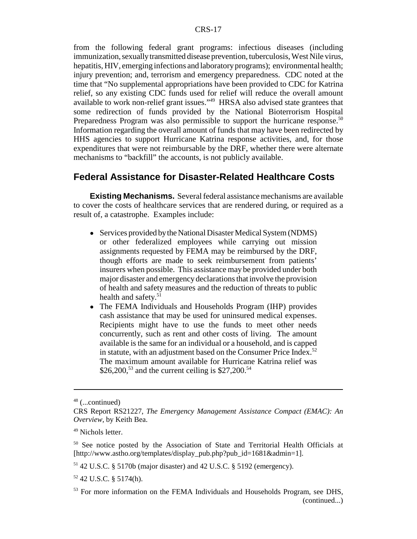from the following federal grant programs: infectious diseases (including immunization, sexually transmitted disease prevention, tuberculosis, West Nile virus, hepatitis, HIV, emerging infections and laboratory programs); environmental health; injury prevention; and, terrorism and emergency preparedness. CDC noted at the time that "No supplemental appropriations have been provided to CDC for Katrina relief, so any existing CDC funds used for relief will reduce the overall amount available to work non-relief grant issues."49 HRSA also advised state grantees that some redirection of funds provided by the National Bioterrorism Hospital Preparedness Program was also permissible to support the hurricane response.<sup>50</sup> Information regarding the overall amount of funds that may have been redirected by HHS agencies to support Hurricane Katrina response activities, and, for those expenditures that were not reimbursable by the DRF, whether there were alternate mechanisms to "backfill" the accounts, is not publicly available.

## **Federal Assistance for Disaster-Related Healthcare Costs**

**Existing Mechanisms.** Several federal assistance mechanisms are available to cover the costs of healthcare services that are rendered during, or required as a result of, a catastrophe. Examples include:

- Services provided by the National Disaster Medical System (NDMS) or other federalized employees while carrying out mission assignments requested by FEMA may be reimbursed by the DRF, though efforts are made to seek reimbursement from patients' insurers when possible. This assistance may be provided under both major disaster and emergency declarations that involve the provision of health and safety measures and the reduction of threats to public health and safety. $51$
- The FEMA Individuals and Households Program (IHP) provides cash assistance that may be used for uninsured medical expenses. Recipients might have to use the funds to meet other needs concurrently, such as rent and other costs of living. The amount available is the same for an individual or a household, and is capped in statute, with an adjustment based on the Consumer Price Index. $52$ The maximum amount available for Hurricane Katrina relief was \$26,200,<sup>53</sup> and the current ceiling is \$27,200.<sup>54</sup>

 $48$  (...continued)

CRS Report RS21227, *The Emergency Management Assistance Compact (EMAC): An Overview,* by Keith Bea.

<sup>&</sup>lt;sup>49</sup> Nichols letter.

<sup>50</sup> See notice posted by the Association of State and Territorial Health Officials at [http://www.astho.org/templates/display\_pub.php?pub\_id=1681&admin=1].

<sup>51 42</sup> U.S.C. § 5170b (major disaster) and 42 U.S.C. § 5192 (emergency).

<sup>52 42</sup> U.S.C. § 5174(h).

<sup>&</sup>lt;sup>53</sup> For more information on the FEMA Individuals and Households Program, see DHS, (continued...)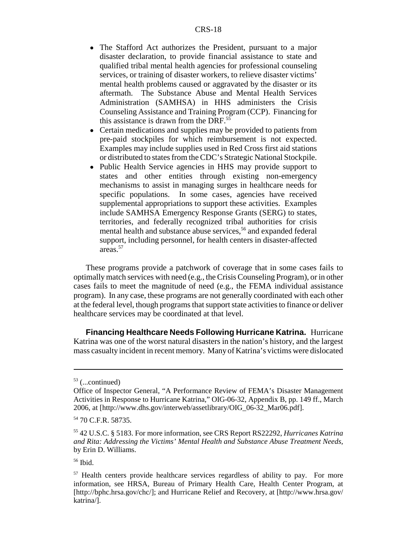- The Stafford Act authorizes the President, pursuant to a major disaster declaration, to provide financial assistance to state and qualified tribal mental health agencies for professional counseling services, or training of disaster workers, to relieve disaster victims' mental health problems caused or aggravated by the disaster or its aftermath. The Substance Abuse and Mental Health Services Administration (SAMHSA) in HHS administers the Crisis Counseling Assistance and Training Program (CCP). Financing for this assistance is drawn from the DRF.<sup>55</sup>
- Certain medications and supplies may be provided to patients from pre-paid stockpiles for which reimbursement is not expected. Examples may include supplies used in Red Cross first aid stations or distributed to states from the CDC's Strategic National Stockpile.
- Public Health Service agencies in HHS may provide support to states and other entities through existing non-emergency mechanisms to assist in managing surges in healthcare needs for specific populations. In some cases, agencies have received supplemental appropriations to support these activities. Examples include SAMHSA Emergency Response Grants (SERG) to states, territories, and federally recognized tribal authorities for crisis mental health and substance abuse services,<sup>56</sup> and expanded federal support, including personnel, for health centers in disaster-affected areas.57

These programs provide a patchwork of coverage that in some cases fails to optimally match services with need (e.g., the Crisis Counseling Program), or in other cases fails to meet the magnitude of need (e.g., the FEMA individual assistance program). In any case, these programs are not generally coordinated with each other at the federal level, though programs that support state activities to finance or deliver healthcare services may be coordinated at that level.

**Financing Healthcare Needs Following Hurricane Katrina.** Hurricane Katrina was one of the worst natural disasters in the nation's history, and the largest mass casualty incident in recent memory. Many of Katrina's victims were dislocated

 $53$  (...continued)

Office of Inspector General, "A Performance Review of FEMA's Disaster Management Activities in Response to Hurricane Katrina," OIG-06-32, Appendix B, pp. 149 ff., March 2006, at [http://www.dhs.gov/interweb/assetlibrary/OIG\_06-32\_Mar06.pdf].

<sup>54 70</sup> C.F.R. 58735.

<sup>55 42</sup> U.S.C. § 5183. For more information, see CRS Report RS22292, *Hurricanes Katrina and Rita: Addressing the Victims' Mental Health and Substance Abuse Treatment Needs,* by Erin D. Williams.

<sup>56</sup> Ibid.

<sup>&</sup>lt;sup>57</sup> Health centers provide healthcare services regardless of ability to pay. For more information, see HRSA, Bureau of Primary Health Care, Health Center Program, at [http://bphc.hrsa.gov/chc/]; and Hurricane Relief and Recovery, at [http://www.hrsa.gov/ katrina/].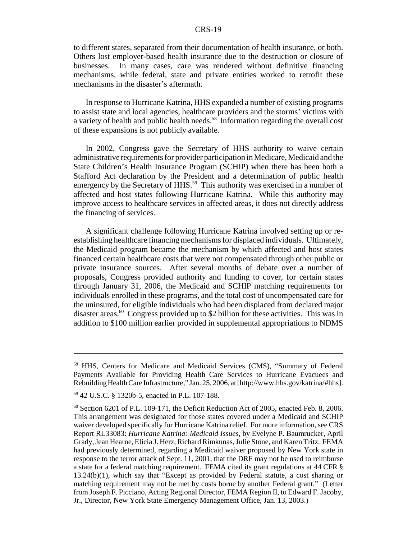to different states, separated from their documentation of health insurance, or both. Others lost employer-based health insurance due to the destruction or closure of businesses. In many cases, care was rendered without definitive financing mechanisms, while federal, state and private entities worked to retrofit these mechanisms in the disaster's aftermath.

In response to Hurricane Katrina, HHS expanded a number of existing programs to assist state and local agencies, healthcare providers and the storms' victims with a variety of health and public health needs.<sup>58</sup> Information regarding the overall cost of these expansions is not publicly available.

In 2002, Congress gave the Secretary of HHS authority to waive certain administrative requirements for provider participation in Medicare, Medicaid and the State Children's Health Insurance Program (SCHIP) when there has been both a Stafford Act declaration by the President and a determination of public health emergency by the Secretary of HHS.<sup>59</sup> This authority was exercised in a number of affected and host states following Hurricane Katrina. While this authority may improve access to healthcare services in affected areas, it does not directly address the financing of services.

A significant challenge following Hurricane Katrina involved setting up or reestablishing healthcare financing mechanisms for displaced individuals. Ultimately, the Medicaid program became the mechanism by which affected and host states financed certain healthcare costs that were not compensated through other public or private insurance sources. After several months of debate over a number of proposals, Congress provided authority and funding to cover, for certain states through January 31, 2006, the Medicaid and SCHIP matching requirements for individuals enrolled in these programs, and the total cost of uncompensated care for the uninsured, for eligible individuals who had been displaced from declared major disaster areas.<sup>60</sup> Congress provided up to \$2 billion for these activities. This was in addition to \$100 million earlier provided in supplemental appropriations to NDMS

<sup>58</sup> HHS, Centers for Medicare and Medicaid Services (CMS), "Summary of Federal Payments Available for Providing Health Care Services to Hurricane Evacuees and Rebuilding Health Care Infrastructure," Jan. 25, 2006, at [http://www.hhs.gov/katrina/#hhs].

<sup>59 42</sup> U.S.C. § 1320b-5, enacted in P.L. 107-188.

 $60$  Section 6201 of P.L. 109-171, the Deficit Reduction Act of 2005, enacted Feb. 8, 2006. This arrangement was designated for those states covered under a Medicaid and SCHIP waiver developed specifically for Hurricane Katrina relief. For more information, see CRS Report RL33083: *Hurricane Katrina: Medicaid Issues,* by Evelyne P. Baumrucker, April Grady, Jean Hearne, Elicia J. Herz, Richard Rimkunas, Julie Stone, and Karen Tritz. FEMA had previously determined, regarding a Medicaid waiver proposed by New York state in response to the terror attack of Sept. 11, 2001, that the DRF may not be used to reimburse a state for a federal matching requirement. FEMA cited its grant regulations at 44 CFR § 13.24(b)(1), which say that "Except as provided by Federal statute, a cost sharing or matching requirement may not be met by costs borne by another Federal grant." (Letter from Joseph F. Picciano, Acting Regional Director, FEMA Region II, to Edward F. Jacoby, Jr., Director, New York State Emergency Management Office, Jan. 13, 2003.)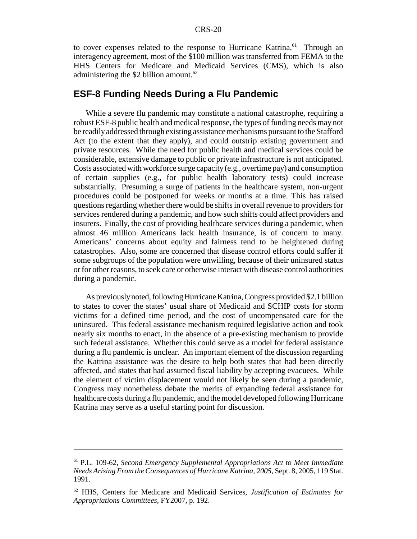to cover expenses related to the response to Hurricane Katrina.<sup>61</sup> Through an interagency agreement, most of the \$100 million was transferred from FEMA to the HHS Centers for Medicare and Medicaid Services (CMS), which is also administering the  $$2$  billion amount.<sup>62</sup>

## **ESF-8 Funding Needs During a Flu Pandemic**

While a severe flu pandemic may constitute a national catastrophe, requiring a robust ESF-8 public health and medical response, the types of funding needs may not be readily addressed through existing assistance mechanisms pursuant to the Stafford Act (to the extent that they apply), and could outstrip existing government and private resources. While the need for public health and medical services could be considerable, extensive damage to public or private infrastructure is not anticipated. Costs associated with workforce surge capacity (e.g., overtime pay) and consumption of certain supplies (e.g., for public health laboratory tests) could increase substantially. Presuming a surge of patients in the healthcare system, non-urgent procedures could be postponed for weeks or months at a time. This has raised questions regarding whether there would be shifts in overall revenue to providers for services rendered during a pandemic, and how such shifts could affect providers and insurers. Finally, the cost of providing healthcare services during a pandemic, when almost 46 million Americans lack health insurance, is of concern to many. Americans' concerns about equity and fairness tend to be heightened during catastrophes. Also, some are concerned that disease control efforts could suffer if some subgroups of the population were unwilling, because of their uninsured status or for other reasons, to seek care or otherwise interact with disease control authorities during a pandemic.

As previously noted, following Hurricane Katrina, Congress provided \$2.1 billion to states to cover the states' usual share of Medicaid and SCHIP costs for storm victims for a defined time period, and the cost of uncompensated care for the uninsured. This federal assistance mechanism required legislative action and took nearly six months to enact, in the absence of a pre-existing mechanism to provide such federal assistance. Whether this could serve as a model for federal assistance during a flu pandemic is unclear. An important element of the discussion regarding the Katrina assistance was the desire to help both states that had been directly affected, and states that had assumed fiscal liability by accepting evacuees. While the element of victim displacement would not likely be seen during a pandemic, Congress may nonetheless debate the merits of expanding federal assistance for healthcare costs during a flu pandemic, and the model developed following Hurricane Katrina may serve as a useful starting point for discussion.

<sup>61</sup> P.L. 109-62, *Second Emergency Supplemental Appropriations Act to Meet Immediate Needs Arising From the Consequences of Hurricane Katrina, 2005*, Sept. 8, 2005, 119 Stat. 1991.

<sup>62</sup> HHS, Centers for Medicare and Medicaid Services, *Justification of Estimates for Appropriations Committees,* FY2007, p. 192.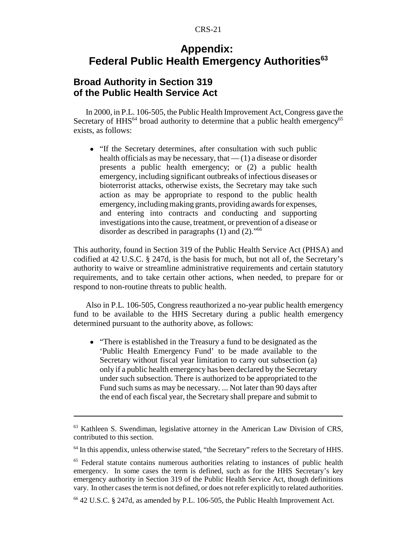## **Appendix: Federal Public Health Emergency Authorities<sup>63</sup>**

## **Broad Authority in Section 319 of the Public Health Service Act**

In 2000, in P.L. 106-505, the Public Health Improvement Act, Congress gave the Secretary of  $HHS^{64}$  broad authority to determine that a public health emergency<sup>65</sup> exists, as follows:

• "If the Secretary determines, after consultation with such public health officials as may be necessary, that  $-$  (1) a disease or disorder presents a public health emergency; or (2) a public health emergency, including significant outbreaks of infectious diseases or bioterrorist attacks, otherwise exists, the Secretary may take such action as may be appropriate to respond to the public health emergency, including making grants, providing awards for expenses, and entering into contracts and conducting and supporting investigations into the cause, treatment, or prevention of a disease or disorder as described in paragraphs  $(1)$  and  $(2)$ ."<sup>66</sup>

This authority, found in Section 319 of the Public Health Service Act (PHSA) and codified at 42 U.S.C. § 247d, is the basis for much, but not all of, the Secretary's authority to waive or streamline administrative requirements and certain statutory requirements, and to take certain other actions, when needed, to prepare for or respond to non-routine threats to public health.

Also in P.L. 106-505, Congress reauthorized a no-year public health emergency fund to be available to the HHS Secretary during a public health emergency determined pursuant to the authority above, as follows:

• "There is established in the Treasury a fund to be designated as the 'Public Health Emergency Fund' to be made available to the Secretary without fiscal year limitation to carry out subsection (a) only if a public health emergency has been declared by the Secretary under such subsection. There is authorized to be appropriated to the Fund such sums as may be necessary. ... Not later than 90 days after the end of each fiscal year, the Secretary shall prepare and submit to

<sup>63</sup> Kathleen S. Swendiman, legislative attorney in the American Law Division of CRS, contributed to this section.

<sup>&</sup>lt;sup>64</sup> In this appendix, unless otherwise stated, "the Secretary" refers to the Secretary of HHS.

<sup>&</sup>lt;sup>65</sup> Federal statute contains numerous authorities relating to instances of public health emergency. In some cases the term is defined, such as for the HHS Secretary's key emergency authority in Section 319 of the Public Health Service Act, though definitions vary. In other cases the term is not defined, or does not refer explicitly to related authorities.

<sup>66 42</sup> U.S.C. § 247d, as amended by P.L. 106-505, the Public Health Improvement Act.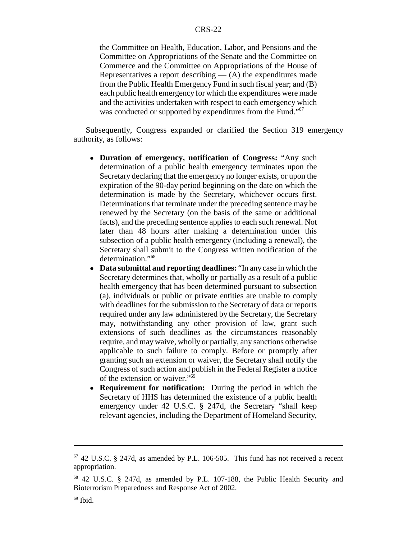the Committee on Health, Education, Labor, and Pensions and the Committee on Appropriations of the Senate and the Committee on Commerce and the Committee on Appropriations of the House of Representatives a report describing  $-$  (A) the expenditures made from the Public Health Emergency Fund in such fiscal year; and (B) each public health emergency for which the expenditures were made and the activities undertaken with respect to each emergency which was conducted or supported by expenditures from the Fund."<sup>67</sup>

Subsequently, Congress expanded or clarified the Section 319 emergency authority, as follows:

- ! **Duration of emergency, notification of Congress:** "Any such determination of a public health emergency terminates upon the Secretary declaring that the emergency no longer exists, or upon the expiration of the 90-day period beginning on the date on which the determination is made by the Secretary, whichever occurs first. Determinations that terminate under the preceding sentence may be renewed by the Secretary (on the basis of the same or additional facts), and the preceding sentence applies to each such renewal. Not later than 48 hours after making a determination under this subsection of a public health emergency (including a renewal), the Secretary shall submit to the Congress written notification of the determination."68
- ! **Data submittal and reporting deadlines:** "In any case in which the Secretary determines that, wholly or partially as a result of a public health emergency that has been determined pursuant to subsection (a), individuals or public or private entities are unable to comply with deadlines for the submission to the Secretary of data or reports required under any law administered by the Secretary, the Secretary may, notwithstanding any other provision of law, grant such extensions of such deadlines as the circumstances reasonably require, and may waive, wholly or partially, any sanctions otherwise applicable to such failure to comply. Before or promptly after granting such an extension or waiver, the Secretary shall notify the Congress of such action and publish in the Federal Register a notice of the extension or waiver."69
- ! **Requirement for notification:** During the period in which the Secretary of HHS has determined the existence of a public health emergency under 42 U.S.C. § 247d, the Secretary "shall keep relevant agencies, including the Department of Homeland Security,

 $67$  42 U.S.C. § 247d, as amended by P.L. 106-505. This fund has not received a recent appropriation.

<sup>68 42</sup> U.S.C. § 247d, as amended by P.L. 107-188, the Public Health Security and Bioterrorism Preparedness and Response Act of 2002.

 $69$  Ibid.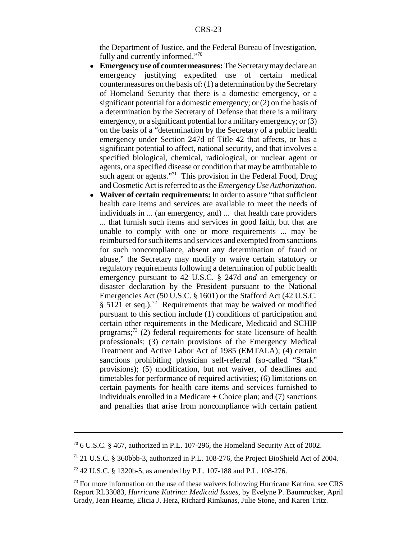the Department of Justice, and the Federal Bureau of Investigation, fully and currently informed."<sup>70</sup>

- ! **Emergency use of countermeasures:** The Secretary may declare an emergency justifying expedited use of certain medical countermeasures on the basis of: (1) a determination by the Secretary of Homeland Security that there is a domestic emergency, or a significant potential for a domestic emergency; or (2) on the basis of a determination by the Secretary of Defense that there is a military emergency, or a significant potential for a military emergency; or (3) on the basis of a "determination by the Secretary of a public health emergency under Section 247d of Title 42 that affects, or has a significant potential to affect, national security, and that involves a specified biological, chemical, radiological, or nuclear agent or agents, or a specified disease or condition that may be attributable to such agent or agents."<sup>71</sup> This provision in the Federal Food, Drug and Cosmetic Act is referred to as the *Emergency Use Authorization*.
- ! **Waiver of certain requirements:** In order to assure "that sufficient health care items and services are available to meet the needs of individuals in ... (an emergency, and) ... that health care providers ... that furnish such items and services in good faith, but that are unable to comply with one or more requirements ... may be reimbursed for such items and services and exempted from sanctions for such noncompliance, absent any determination of fraud or abuse," the Secretary may modify or waive certain statutory or regulatory requirements following a determination of public health emergency pursuant to 42 U.S.C. § 247d *and* an emergency or disaster declaration by the President pursuant to the National Emergencies Act (50 U.S.C. § 1601) or the Stafford Act (42 U.S.C. § 5121 et seq.).<sup>72</sup> Requirements that may be waived or modified pursuant to this section include (1) conditions of participation and certain other requirements in the Medicare, Medicaid and SCHIP programs; $^{73}$  (2) federal requirements for state licensure of health professionals; (3) certain provisions of the Emergency Medical Treatment and Active Labor Act of 1985 (EMTALA); (4) certain sanctions prohibiting physician self-referral (so-called "Stark" provisions); (5) modification, but not waiver, of deadlines and timetables for performance of required activities; (6) limitations on certain payments for health care items and services furnished to individuals enrolled in a Medicare  $+$  Choice plan; and (7) sanctions and penalties that arise from noncompliance with certain patient

 $70$  6 U.S.C. § 467, authorized in P.L. 107-296, the Homeland Security Act of 2002.

<sup>71 21</sup> U.S.C. § 360bbb-3, authorized in P.L. 108-276, the Project BioShield Act of 2004.

<sup>72 42</sup> U.S.C. § 1320b-5, as amended by P.L. 107-188 and P.L. 108-276.

 $<sup>73</sup>$  For more information on the use of these waivers following Hurricane Katrina, see CRS</sup> Report RL33083, *Hurricane Katrina: Medicaid Issues,* by Evelyne P. Baumrucker, April Grady, Jean Hearne, Elicia J. Herz, Richard Rimkunas, Julie Stone, and Karen Tritz.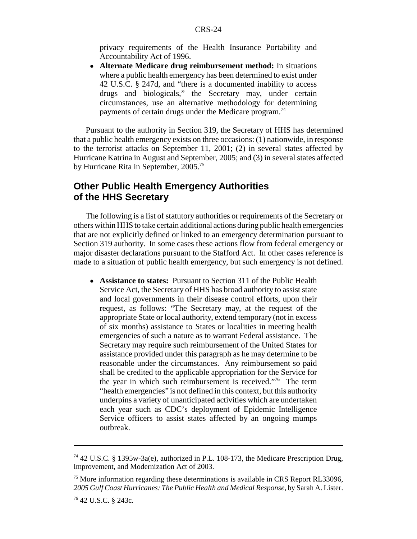privacy requirements of the Health Insurance Portability and Accountability Act of 1996.

! **Alternate Medicare drug reimbursement method:** In situations where a public health emergency has been determined to exist under 42 U.S.C. § 247d, and "there is a documented inability to access drugs and biologicals," the Secretary may, under certain circumstances, use an alternative methodology for determining payments of certain drugs under the Medicare program.<sup>74</sup>

Pursuant to the authority in Section 319, the Secretary of HHS has determined that a public health emergency exists on three occasions: (1) nationwide, in response to the terrorist attacks on September 11, 2001; (2) in several states affected by Hurricane Katrina in August and September, 2005; and (3) in several states affected by Hurricane Rita in September, 2005.75

## **Other Public Health Emergency Authorities of the HHS Secretary**

The following is a list of statutory authorities or requirements of the Secretary or others within HHS to take certain additional actions during public health emergencies that are not explicitly defined or linked to an emergency determination pursuant to Section 319 authority. In some cases these actions flow from federal emergency or major disaster declarations pursuant to the Stafford Act. In other cases reference is made to a situation of public health emergency, but such emergency is not defined.

! **Assistance to states:** Pursuant to Section 311 of the Public Health Service Act, the Secretary of HHS has broad authority to assist state and local governments in their disease control efforts, upon their request, as follows: "The Secretary may, at the request of the appropriate State or local authority, extend temporary (not in excess of six months) assistance to States or localities in meeting health emergencies of such a nature as to warrant Federal assistance. The Secretary may require such reimbursement of the United States for assistance provided under this paragraph as he may determine to be reasonable under the circumstances. Any reimbursement so paid shall be credited to the applicable appropriation for the Service for the year in which such reimbursement is received."76 The term "health emergencies" is not defined in this context, but this authority underpins a variety of unanticipated activities which are undertaken each year such as CDC's deployment of Epidemic Intelligence Service officers to assist states affected by an ongoing mumps outbreak.

<sup>74 42</sup> U.S.C. § 1395w-3a(e), authorized in P.L. 108-173, the Medicare Prescription Drug, Improvement, and Modernization Act of 2003.

<sup>&</sup>lt;sup>75</sup> More information regarding these determinations is available in CRS Report RL33096, *2005 Gulf Coast Hurricanes: The Public Health and Medical Response,* by Sarah A. Lister.

<sup>76 42</sup> U.S.C. § 243c.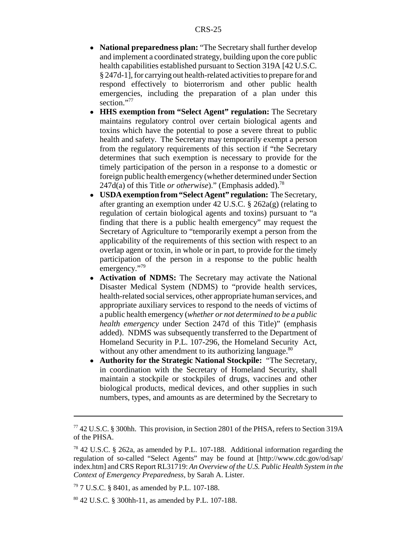- **National preparedness plan:** "The Secretary shall further develop and implement a coordinated strategy, building upon the core public health capabilities established pursuant to Section 319A [42 U.S.C. § 247d-1], for carrying out health-related activities to prepare for and respond effectively to bioterrorism and other public health emergencies, including the preparation of a plan under this section."77
- ! **HHS exemption from "Select Agent" regulation:** The Secretary maintains regulatory control over certain biological agents and toxins which have the potential to pose a severe threat to public health and safety. The Secretary may temporarily exempt a person from the regulatory requirements of this section if "the Secretary determines that such exemption is necessary to provide for the timely participation of the person in a response to a domestic or foreign public health emergency (whether determined under Section  $247d(a)$  of this Title *or otherwise*)." (Emphasis added).<sup>78</sup>
- ! **USDA exemption from "Select Agent" regulation:** The Secretary, after granting an exemption under 42 U.S.C. § 262a(g) (relating to regulation of certain biological agents and toxins) pursuant to "a finding that there is a public health emergency" may request the Secretary of Agriculture to "temporarily exempt a person from the applicability of the requirements of this section with respect to an overlap agent or toxin, in whole or in part, to provide for the timely participation of the person in a response to the public health emergency."<sup>79</sup>
- ! **Activation of NDMS:** The Secretary may activate the National Disaster Medical System (NDMS) to "provide health services, health-related social services, other appropriate human services, and appropriate auxiliary services to respond to the needs of victims of a public health emergency (*whether or not determined to be a public health emergency* under Section 247d of this Title)" (emphasis added). NDMS was subsequently transferred to the Department of Homeland Security in P.L. 107-296, the Homeland Security Act, without any other amendment to its authorizing language.<sup>80</sup>
- ! **Authority for the Strategic National Stockpile:** "The Secretary, in coordination with the Secretary of Homeland Security, shall maintain a stockpile or stockpiles of drugs, vaccines and other biological products, medical devices, and other supplies in such numbers, types, and amounts as are determined by the Secretary to

<sup>77 42</sup> U.S.C. § 300hh. This provision, in Section 2801 of the PHSA, refers to Section 319A of the PHSA.

<sup>78 42</sup> U.S.C. § 262a, as amended by P.L. 107-188. Additional information regarding the regulation of so-called "Select Agents" may be found at [http://www.cdc.gov/od/sap/ index.htm] and CRS Report RL31719: *An Overview of the U.S. Public Health System in the Context of Emergency Preparedness,* by Sarah A. Lister.

<sup>79 7</sup> U.S.C. § 8401, as amended by P.L. 107-188.

<sup>80 42</sup> U.S.C. § 300hh-11, as amended by P.L. 107-188.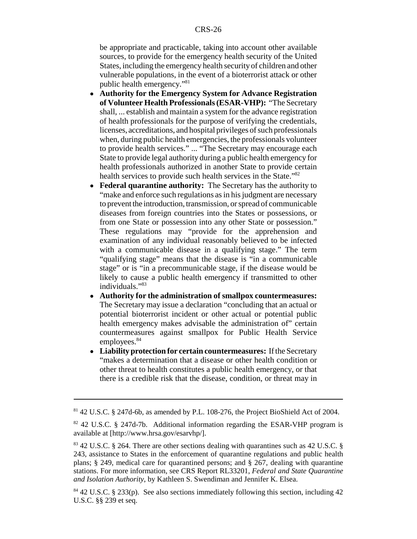be appropriate and practicable, taking into account other available sources, to provide for the emergency health security of the United States, including the emergency health security of children and other vulnerable populations, in the event of a bioterrorist attack or other public health emergency."81

- ! **Authority for the Emergency System for Advance Registration of Volunteer Health Professionals (ESAR-VHP):** "The Secretary shall, ... establish and maintain a system for the advance registration of health professionals for the purpose of verifying the credentials, licenses, accreditations, and hospital privileges of such professionals when, during public health emergencies, the professionals volunteer to provide health services." ... "The Secretary may encourage each State to provide legal authority during a public health emergency for health professionals authorized in another State to provide certain health services to provide such health services in the State."<sup>82</sup>
- ! **Federal quarantine authority:** The Secretary has the authority to "make and enforce such regulations as in his judgment are necessary to prevent the introduction, transmission, or spread of communicable diseases from foreign countries into the States or possessions, or from one State or possession into any other State or possession." These regulations may "provide for the apprehension and examination of any individual reasonably believed to be infected with a communicable disease in a qualifying stage." The term "qualifying stage" means that the disease is "in a communicable stage" or is "in a precommunicable stage, if the disease would be likely to cause a public health emergency if transmitted to other individuals."83
- ! **Authority for the administration of smallpox countermeasures:** The Secretary may issue a declaration "concluding that an actual or potential bioterrorist incident or other actual or potential public health emergency makes advisable the administration of" certain countermeasures against smallpox for Public Health Service employees.<sup>84</sup>
- ! **Liability protection for certain countermeasures:** If the Secretary "makes a determination that a disease or other health condition or other threat to health constitutes a public health emergency, or that there is a credible risk that the disease, condition, or threat may in

<sup>81 42</sup> U.S.C. § 247d-6b, as amended by P.L. 108-276, the Project BioShield Act of 2004.

 $82$  42 U.S.C. § 247d-7b. Additional information regarding the ESAR-VHP program is available at [http://www.hrsa.gov/esarvhp/].

<sup>&</sup>lt;sup>83</sup> 42 U.S.C. § 264. There are other sections dealing with quarantines such as 42 U.S.C. § 243, assistance to States in the enforcement of quarantine regulations and public health plans; § 249, medical care for quarantined persons; and § 267, dealing with quarantine stations. For more information, see CRS Report RL33201, *Federal and State Quarantine and Isolation Authority*, by Kathleen S. Swendiman and Jennifer K. Elsea.

 $84$  42 U.S.C. § 233(p). See also sections immediately following this section, including 42 U.S.C. §§ 239 et seq.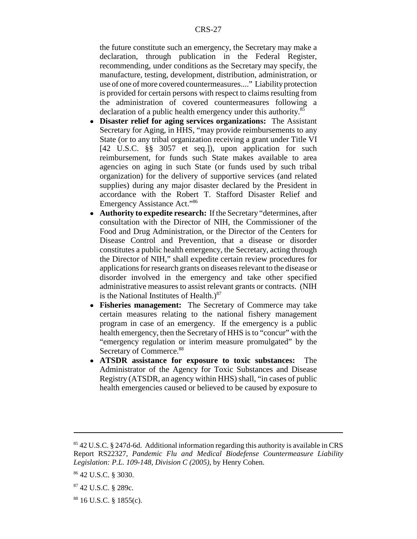the future constitute such an emergency, the Secretary may make a declaration, through publication in the Federal Register, recommending, under conditions as the Secretary may specify, the manufacture, testing, development, distribution, administration, or use of one of more covered countermeasures...." Liability protection is provided for certain persons with respect to claims resulting from the administration of covered countermeasures following a declaration of a public health emergency under this authority.<sup>85</sup>

- ! **Disaster relief for aging services organizations:** The Assistant Secretary for Aging, in HHS, "may provide reimbursements to any State (or to any tribal organization receiving a grant under Title VI [42 U.S.C. §§ 3057 et seq.]), upon application for such reimbursement, for funds such State makes available to area agencies on aging in such State (or funds used by such tribal organization) for the delivery of supportive services (and related supplies) during any major disaster declared by the President in accordance with the Robert T. Stafford Disaster Relief and Emergency Assistance Act."86
- ! **Authority to expedite research:** If the Secretary "determines, after consultation with the Director of NIH, the Commissioner of the Food and Drug Administration, or the Director of the Centers for Disease Control and Prevention, that a disease or disorder constitutes a public health emergency, the Secretary, acting through the Director of NIH," shall expedite certain review procedures for applications for research grants on diseases relevant to the disease or disorder involved in the emergency and take other specified administrative measures to assist relevant grants or contracts. (NIH is the National Institutes of Health.) $87$
- ! **Fisheries management:** The Secretary of Commerce may take certain measures relating to the national fishery management program in case of an emergency. If the emergency is a public health emergency, then the Secretary of HHS is to "concur" with the "emergency regulation or interim measure promulgated" by the Secretary of Commerce.<sup>88</sup>
- ! **ATSDR assistance for exposure to toxic substances:** The Administrator of the Agency for Toxic Substances and Disease Registry (ATSDR, an agency within HHS) shall, "in cases of public health emergencies caused or believed to be caused by exposure to

<sup>85 42</sup> U.S.C. § 247d-6d. Additional information regarding this authority is available in CRS Report RS22327, *Pandemic Flu and Medical Biodefense Countermeasure Liability Legislation: P.L. 109-148, Division C (2005)*, by Henry Cohen.

<sup>86 42</sup> U.S.C. § 3030.

<sup>87 42</sup> U.S.C. § 289c.

 $88$  16 U.S.C. § 1855(c).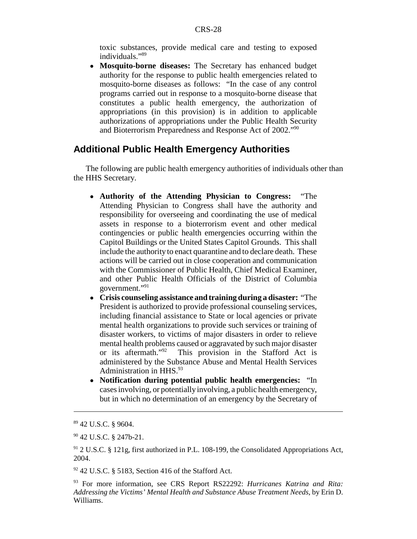toxic substances, provide medical care and testing to exposed individuals."89

! **Mosquito-borne diseases:** The Secretary has enhanced budget authority for the response to public health emergencies related to mosquito-borne diseases as follows: "In the case of any control programs carried out in response to a mosquito-borne disease that constitutes a public health emergency, the authorization of appropriations (in this provision) is in addition to applicable authorizations of appropriations under the Public Health Security and Bioterrorism Preparedness and Response Act of 2002."90

## **Additional Public Health Emergency Authorities**

The following are public health emergency authorities of individuals other than the HHS Secretary.

- ! **Authority of the Attending Physician to Congress:** "The Attending Physician to Congress shall have the authority and responsibility for overseeing and coordinating the use of medical assets in response to a bioterrorism event and other medical contingencies or public health emergencies occurring within the Capitol Buildings or the United States Capitol Grounds. This shall include the authority to enact quarantine and to declare death. These actions will be carried out in close cooperation and communication with the Commissioner of Public Health, Chief Medical Examiner, and other Public Health Officials of the District of Columbia government."91
- ! **Crisis counseling assistance and training during a disaster:** "The President is authorized to provide professional counseling services, including financial assistance to State or local agencies or private mental health organizations to provide such services or training of disaster workers, to victims of major disasters in order to relieve mental health problems caused or aggravated by such major disaster or its aftermath."92 This provision in the Stafford Act is administered by the Substance Abuse and Mental Health Services Administration in  $HHS$ .<sup>93</sup>
- ! **Notification during potential public health emergencies:** "In cases involving, or potentially involving, a public health emergency, but in which no determination of an emergency by the Secretary of

<sup>89 42</sup> U.S.C. § 9604.

<sup>90 42</sup> U.S.C. § 247b-21.

<sup>91 2</sup> U.S.C. § 121g, first authorized in P.L. 108-199, the Consolidated Appropriations Act, 2004.

 $92$  42 U.S.C. § 5183, Section 416 of the Stafford Act.

<sup>93</sup> For more information, see CRS Report RS22292: *Hurricanes Katrina and Rita: Addressing the Victims' Mental Health and Substance Abuse Treatment Needs*, by Erin D. Williams.